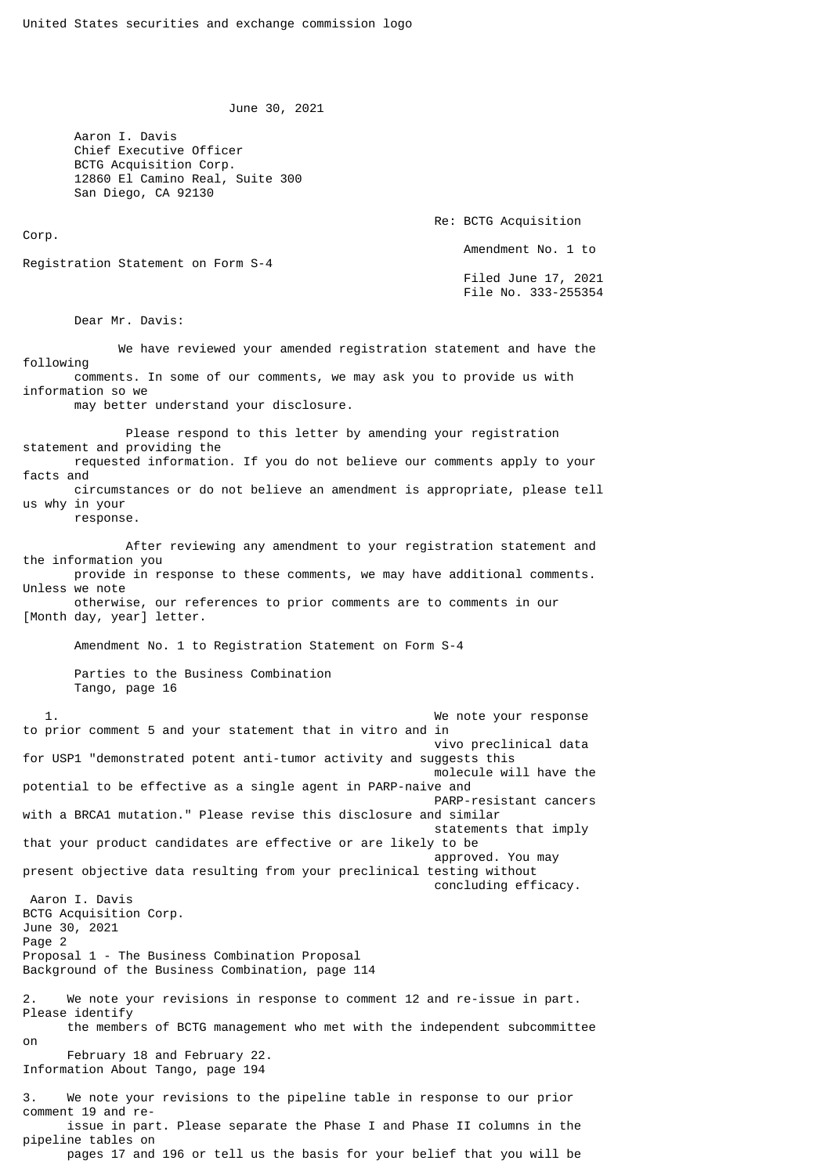June 30, 2021

 Aaron I. Davis Chief Executive Officer BCTG Acquisition Corp. 12860 El Camino Real, Suite 300 San Diego, CA 92130

 Re: BCTG Acquisition Amendment No. 1 to Registration Statement on Form S-4 Filed June 17, 2021 File No. 333-255354

Dear Mr. Davis:

Corp.

 We have reviewed your amended registration statement and have the following comments. In some of our comments, we may ask you to provide us with information so we may better understand your disclosure. Please respond to this letter by amending your registration statement and providing the requested information. If you do not believe our comments apply to your facts and circumstances or do not believe an amendment is appropriate, please tell us why in your response. After reviewing any amendment to your registration statement and the information you provide in response to these comments, we may have additional comments. Unless we note otherwise, our references to prior comments are to comments in our [Month day, year] letter. Amendment No. 1 to Registration Statement on Form S-4 Parties to the Business Combination Tango, page 16 1. We note your response to prior comment 5 and your statement that in vitro and in vivo preclinical data for USP1 "demonstrated potent anti-tumor activity and suggests this molecule will have the potential to be effective as a single agent in PARP-naive and PARP-resistant cancers with a BRCA1 mutation." Please revise this disclosure and similar statements that imply that your product candidates are effective or are likely to be approved. You may present objective data resulting from your preclinical testing without concluding efficacy. Aaron I. Davis BCTG Acquisition Corp. June 30, 2021 Page 2 Proposal 1 - The Business Combination Proposal Background of the Business Combination, page 114 2. We note your revisions in response to comment 12 and re-issue in part. Please identify the members of BCTG management who met with the independent subcommittee on February 18 and February 22. Information About Tango, page 194 3. We note your revisions to the pipeline table in response to our prior comment 19 and re issue in part. Please separate the Phase I and Phase II columns in the pipeline tables on pages 17 and 196 or tell us the basis for your belief that you will be